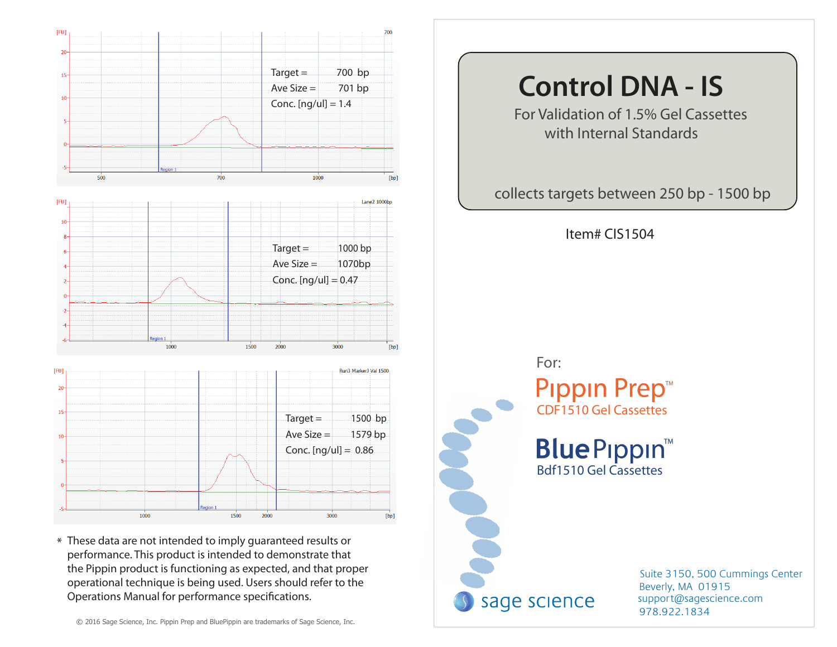

\* These data are not intended to imply guaranteed results or performance. This product is intended to demonstrate that the Pippin product is functioning as expected, and that proper operational technique is being used. Users should refer to the Operations Manual for performance specifications.

# **Control DNA - IS**

For Validation of 1.5% Gel Cassettes with Internal Standards

collects targets between 250 bp - 1500 bp

Item# CIS1504



978.922.1834 support@sagescience.com Suite 3150, 500 Cummings Center Beverly, MA 01915